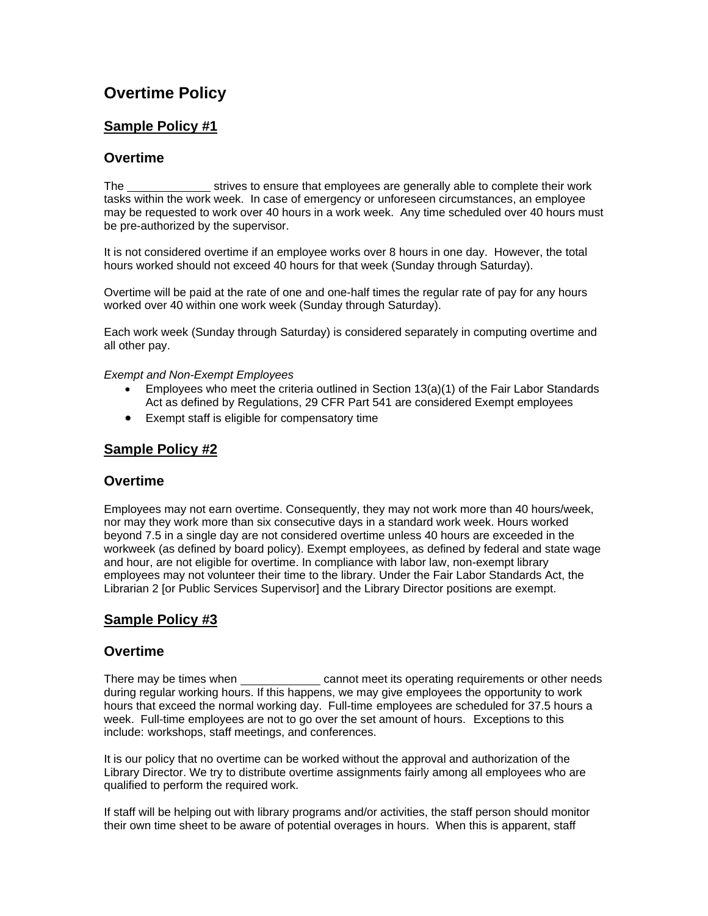# **Overtime Policy**

# **Sample Policy #1**

## **Overtime**

The strives to ensure that employees are generally able to complete their work tasks within the work week. In case of emergency or unforeseen circumstances, an employee may be requested to work over 40 hours in a work week. Any time scheduled over 40 hours must be pre-authorized by the supervisor.

It is not considered overtime if an employee works over 8 hours in one day. However, the total hours worked should not exceed 40 hours for that week (Sunday through Saturday).

Overtime will be paid at the rate of one and one-half times the regular rate of pay for any hours worked over 40 within one work week (Sunday through Saturday).

Each work week (Sunday through Saturday) is considered separately in computing overtime and all other pay.

#### *Exempt and Non-Exempt Employees*

- Employees who meet the criteria outlined in Section 13(a)(1) of the Fair Labor Standards Act as defined by Regulations, 29 CFR Part 541 are considered Exempt employees
- Exempt staff is eligible for compensatory time

# **Sample Policy #2**

### **Overtime**

Employees may not earn overtime. Consequently, they may not work more than 40 hours/week, nor may they work more than six consecutive days in a standard work week. Hours worked beyond 7.5 in a single day are not considered overtime unless 40 hours are exceeded in the workweek (as defined by board policy). Exempt employees, as defined by federal and state wage and hour, are not eligible for overtime. In compliance with labor law, non-exempt library employees may not volunteer their time to the library. Under the Fair Labor Standards Act, the Librarian 2 [or Public Services Supervisor] and the Library Director positions are exempt.

# **Sample Policy #3**

### **Overtime**

There may be times when cannot meet its operating requirements or other needs during regular working hours. If this happens, we may give employees the opportunity to work hours that exceed the normal working day. Full-time employees are scheduled for 37.5 hours a week. Full-time employees are not to go over the set amount of hours. Exceptions to this include: workshops, staff meetings, and conferences.

It is our policy that no overtime can be worked without the approval and authorization of the Library Director. We try to distribute overtime assignments fairly among all employees who are qualified to perform the required work.

If staff will be helping out with library programs and/or activities, the staff person should monitor their own time sheet to be aware of potential overages in hours. When this is apparent, staff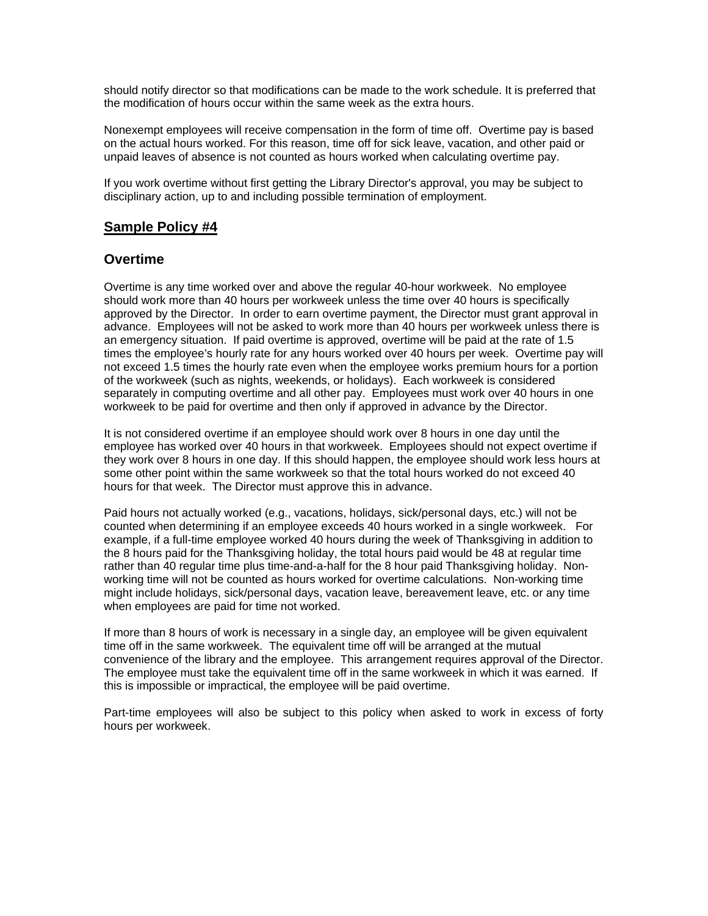should notify director so that modifications can be made to the work schedule. It is preferred that the modification of hours occur within the same week as the extra hours.

Nonexempt employees will receive compensation in the form of time off. Overtime pay is based on the actual hours worked. For this reason, time off for sick leave, vacation, and other paid or unpaid leaves of absence is not counted as hours worked when calculating overtime pay.

If you work overtime without first getting the Library Director's approval, you may be subject to disciplinary action, up to and including possible termination of employment.

#### **Sample Policy #4**

#### **Overtime**

Overtime is any time worked over and above the regular 40-hour workweek. No employee should work more than 40 hours per workweek unless the time over 40 hours is specifically approved by the Director. In order to earn overtime payment, the Director must grant approval in advance. Employees will not be asked to work more than 40 hours per workweek unless there is an emergency situation. If paid overtime is approved, overtime will be paid at the rate of 1.5 times the employee's hourly rate for any hours worked over 40 hours per week. Overtime pay will not exceed 1.5 times the hourly rate even when the employee works premium hours for a portion of the workweek (such as nights, weekends, or holidays). Each workweek is considered separately in computing overtime and all other pay. Employees must work over 40 hours in one workweek to be paid for overtime and then only if approved in advance by the Director.

It is not considered overtime if an employee should work over 8 hours in one day until the employee has worked over 40 hours in that workweek. Employees should not expect overtime if they work over 8 hours in one day. If this should happen, the employee should work less hours at some other point within the same workweek so that the total hours worked do not exceed 40 hours for that week. The Director must approve this in advance.

Paid hours not actually worked (e.g., vacations, holidays, sick/personal days, etc.) will not be counted when determining if an employee exceeds 40 hours worked in a single workweek. For example, if a full-time employee worked 40 hours during the week of Thanksgiving in addition to the 8 hours paid for the Thanksgiving holiday, the total hours paid would be 48 at regular time rather than 40 regular time plus time-and-a-half for the 8 hour paid Thanksgiving holiday. Nonworking time will not be counted as hours worked for overtime calculations. Non-working time might include holidays, sick/personal days, vacation leave, bereavement leave, etc. or any time when employees are paid for time not worked.

If more than 8 hours of work is necessary in a single day, an employee will be given equivalent time off in the same workweek. The equivalent time off will be arranged at the mutual convenience of the library and the employee. This arrangement requires approval of the Director. The employee must take the equivalent time off in the same workweek in which it was earned. If this is impossible or impractical, the employee will be paid overtime.

Part-time employees will also be subject to this policy when asked to work in excess of forty hours per workweek.